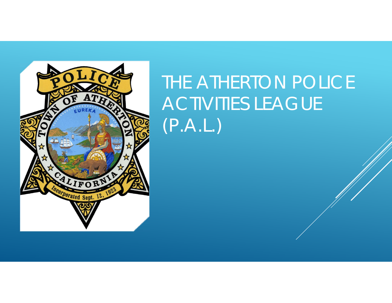

## THE ATHERTON POLICE ACTIVITIES LEAGUE (P.A.L.)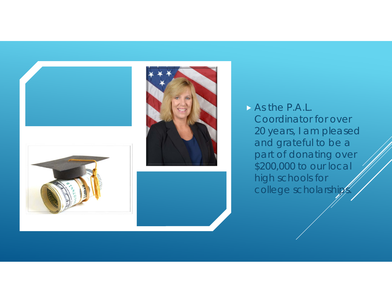

 As the P.A.L. Coordinator for over 20 years, I am pleased and grateful to be a part of donating over \$200,000 to our local high schools for college scholarships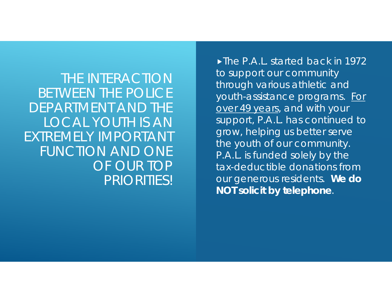THE INTERACTION BETWEEN THE POLICE DEPARTMENT AND THE LOCAL YOUTH IS AN EXTREMELY IMPORTANT FUNCTION AND ONE OF OUR TOP PRIORITIES!

The P.A.L. started back in 1972 to support our community through various athletic and youth-assistance programs. For over 49 years, and with your support, P.A.L. has continued to grow, helping us better serve the youth of our community. P.A.L. is funded solely by the tax-deductible donations from our generous residents. **We do NOT solicit by telephone**.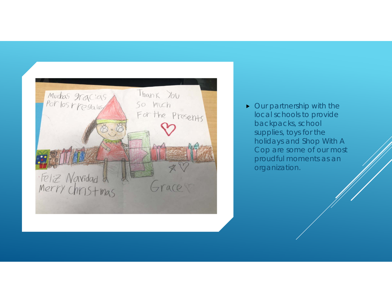

• Our partnership with the local schools to provide backpacks, school supplies, toys for the holidays and Shop With A Cop are some of our most proudful moments as an organization.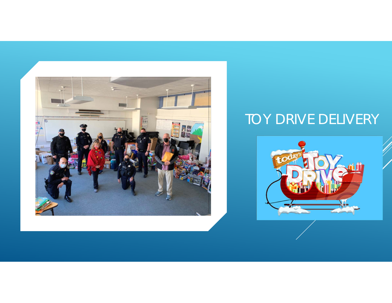

## TOY DRIVE DELIVERY

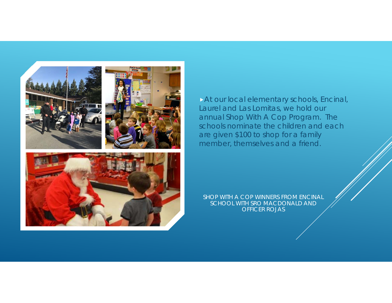

At our local elementary schools, Encinal, Laurel and Las Lomitas, we hold our annual Shop With A Cop Program. The schools nominate the children and each are given \$100 to shop for a family member, themselves and a friend.

SHOP WITH A COP WINNERS FROM ENCINAL SCHOOL WITH SRO MACDONALD AND OFFICER ROJAS